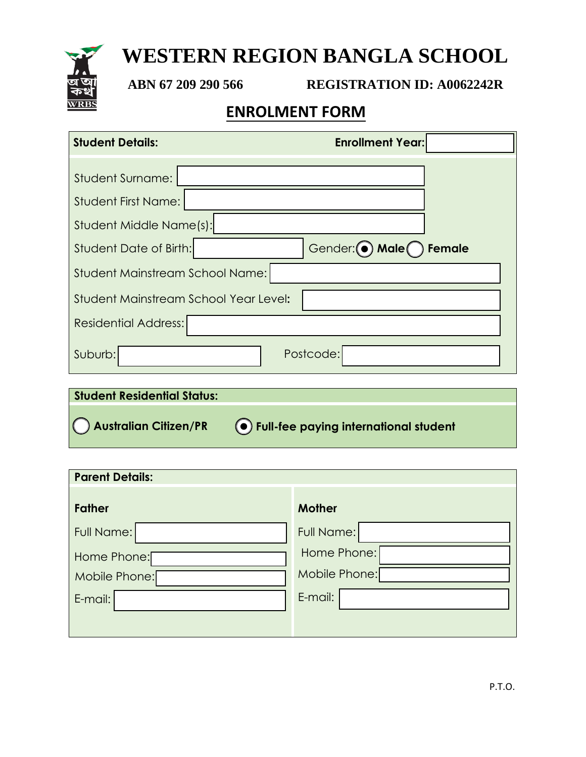# **WESTERN REGION BANGLA SCHOOL**

**ABN 67 209 290 566 REGISTRATION ID: A0062242R**

### **ENROLMENT FORM**

| <b>Enrollment Year:</b><br><b>Student Details:</b>                               |
|----------------------------------------------------------------------------------|
| <b>Student Surname:</b><br><b>Student First Name:</b><br>Student Middle Name(s): |
| Gender: (.) Male remale<br>Student Date of Birth:                                |
| Student Mainstream School Name:                                                  |
| Student Mainstream School Year Level:                                            |
| <b>Residential Address:</b>                                                      |
| Postcode:<br>Suburb:                                                             |

| <b>Student Residential Status:</b> |                                           |
|------------------------------------|-------------------------------------------|
| Australian Citizen/PR              | (O) Full-fee paying international student |

| <b>Parent Details:</b> |                   |  |  |  |  |
|------------------------|-------------------|--|--|--|--|
| <b>Father</b>          | <b>Mother</b>     |  |  |  |  |
| Full Name:             | <b>Full Name:</b> |  |  |  |  |
| Home Phone:            | Home Phone:       |  |  |  |  |
| Mobile Phone:          | Mobile Phone:     |  |  |  |  |
| E-mail:                | E-mail:           |  |  |  |  |
|                        |                   |  |  |  |  |